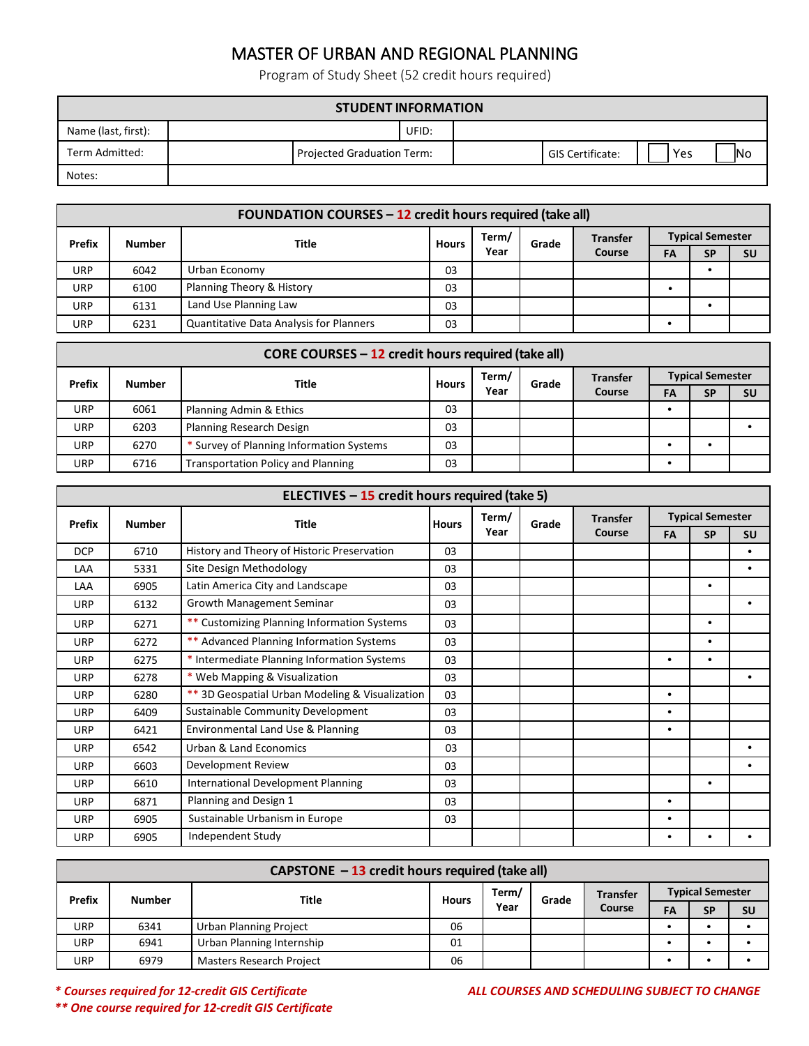## MASTER OF URBAN AND REGIONAL PLANNING

Program of Study Sheet (52 credit hours required)

| <b>STUDENT INFORMATION</b> |  |                            |       |  |                  |     |            |  |
|----------------------------|--|----------------------------|-------|--|------------------|-----|------------|--|
| Name (last, first):        |  |                            | UFID: |  |                  |     |            |  |
| Term Admitted:             |  | Projected Graduation Term: |       |  | GIS Certificate: | Yes | <b>INo</b> |  |
| Notes:                     |  |                            |       |  |                  |     |            |  |

|               | <b>FOUNDATION COURSES - 12 credit hours required (take all)</b> |                                                |              |       |       |                 |                         |           |           |  |
|---------------|-----------------------------------------------------------------|------------------------------------------------|--------------|-------|-------|-----------------|-------------------------|-----------|-----------|--|
| <b>Prefix</b> | <b>Number</b>                                                   | Title                                          | <b>Hours</b> | Term/ | Grade | <b>Transfer</b> | <b>Typical Semester</b> |           |           |  |
|               |                                                                 |                                                |              | Year  |       | Course          | FA                      | <b>SP</b> | <b>SU</b> |  |
| URP           | 6042                                                            | Urban Economy                                  | 03           |       |       |                 |                         |           |           |  |
| URP           | 6100                                                            | Planning Theory & History                      | 03           |       |       |                 |                         |           |           |  |
| URP           | 6131                                                            | Land Use Planning Law                          | 03           |       |       |                 |                         |           |           |  |
| URP           | 6231                                                            | <b>Quantitative Data Analysis for Planners</b> | 03           |       |       |                 |                         |           |           |  |

|               | CORE COURSES - 12 credit hours required (take all) |                                           |              |       |       |                 |                         |    |           |           |
|---------------|----------------------------------------------------|-------------------------------------------|--------------|-------|-------|-----------------|-------------------------|----|-----------|-----------|
| <b>Prefix</b> | <b>Number</b>                                      | Title                                     | <b>Hours</b> | Term/ | Grade | <b>Transfer</b> | <b>Typical Semester</b> |    |           |           |
|               |                                                    |                                           | Year         |       |       |                 | Course                  | FA | <b>SP</b> | <b>SU</b> |
| URP           | 6061                                               | Planning Admin & Ethics                   | 03           |       |       |                 |                         |    |           |           |
| <b>URP</b>    | 6203                                               | Planning Research Design                  | 03           |       |       |                 |                         |    |           |           |
| URP           | 6270                                               | * Survey of Planning Information Systems  | 03           |       |       |                 |                         |    |           |           |
| URP           | 6716                                               | <b>Transportation Policy and Planning</b> | 03           |       |       |                 |                         |    |           |           |

| ELECTIVES $-15$ credit hours required (take 5) |               |                                                 |              |       |       |                 |                         |           |           |  |
|------------------------------------------------|---------------|-------------------------------------------------|--------------|-------|-------|-----------------|-------------------------|-----------|-----------|--|
| Prefix                                         | <b>Number</b> | <b>Title</b>                                    | <b>Hours</b> | Term/ | Grade | <b>Transfer</b> | <b>Typical Semester</b> |           |           |  |
|                                                |               |                                                 |              | Year  |       | Course          | FA                      | <b>SP</b> | <b>SU</b> |  |
| <b>DCP</b>                                     | 6710          | History and Theory of Historic Preservation     | 03           |       |       |                 |                         |           | $\bullet$ |  |
| LAA                                            | 5331          | Site Design Methodology                         | 03           |       |       |                 |                         |           | ٠         |  |
| LAA                                            | 6905          | Latin America City and Landscape                | 03           |       |       |                 |                         | $\bullet$ |           |  |
| URP                                            | 6132          | <b>Growth Management Seminar</b>                | 03           |       |       |                 |                         |           | $\bullet$ |  |
| URP                                            | 6271          | ** Customizing Planning Information Systems     | 03           |       |       |                 |                         | $\bullet$ |           |  |
| URP                                            | 6272          | ** Advanced Planning Information Systems        | 03           |       |       |                 |                         | $\bullet$ |           |  |
| URP                                            | 6275          | * Intermediate Planning Information Systems     | 03           |       |       |                 | $\bullet$               | $\bullet$ |           |  |
| URP                                            | 6278          | * Web Mapping & Visualization                   | 03           |       |       |                 |                         |           | $\bullet$ |  |
| URP                                            | 6280          | ** 3D Geospatial Urban Modeling & Visualization | 03           |       |       |                 | $\bullet$               |           |           |  |
| <b>URP</b>                                     | 6409          | Sustainable Community Development               | 03           |       |       |                 | $\bullet$               |           |           |  |
| <b>URP</b>                                     | 6421          | Environmental Land Use & Planning               | 03           |       |       |                 | $\bullet$               |           |           |  |
| <b>URP</b>                                     | 6542          | Urban & Land Economics                          | 03           |       |       |                 |                         |           | ٠         |  |
| <b>URP</b>                                     | 6603          | Development Review                              | 03           |       |       |                 |                         |           | ٠         |  |
| URP                                            | 6610          | <b>International Development Planning</b>       | 03           |       |       |                 |                         | $\bullet$ |           |  |
| URP                                            | 6871          | Planning and Design 1                           | 03           |       |       |                 | $\bullet$               |           |           |  |
| URP                                            | 6905          | Sustainable Urbanism in Europe                  | 03           |       |       |                 | $\bullet$               |           |           |  |
| <b>URP</b>                                     | 6905          | Independent Study                               |              |       |       |                 | $\bullet$               | ٠         |           |  |

| CAPSTONE - 13 credit hours required (take all) |               |                                 |              |       |       |                           |                         |           |           |
|------------------------------------------------|---------------|---------------------------------|--------------|-------|-------|---------------------------|-------------------------|-----------|-----------|
| Prefix                                         | <b>Number</b> | Title                           | <b>Hours</b> | Term/ | Grade | <b>Transfer</b><br>Course | <b>Typical Semester</b> |           |           |
|                                                |               |                                 |              | Year  |       |                           | FA                      | <b>SP</b> | <b>SU</b> |
| URP                                            | 6341          | Urban Planning Project          | 06           |       |       |                           |                         |           |           |
| URP                                            | 6941          | Urban Planning Internship       | 01           |       |       |                           |                         |           |           |
| URP                                            | 6979          | <b>Masters Research Project</b> | 06           |       |       |                           |                         |           |           |

*\*\* One course required for 12-credit GIS Certificate*